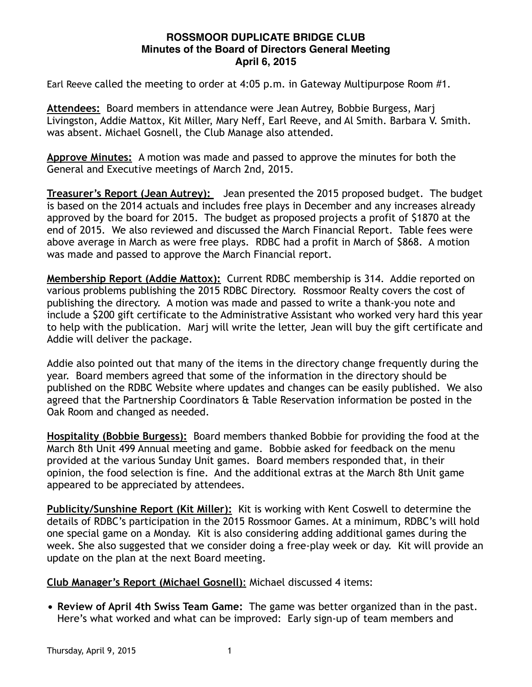## **ROSSMOOR DUPLICATE BRIDGE CLUB Minutes of the Board of Directors General Meeting April 6, 2015**

Earl Reeve called the meeting to order at 4:05 p.m. in Gateway Multipurpose Room #1.

**Attendees:** Board members in attendance were Jean Autrey, Bobbie Burgess, Marj Livingston, Addie Mattox, Kit Miller, Mary Neff, Earl Reeve, and Al Smith. Barbara V. Smith. was absent. Michael Gosnell, the Club Manage also attended.

**Approve Minutes:** A motion was made and passed to approve the minutes for both the General and Executive meetings of March 2nd, 2015.

**Treasurer's Report (Jean Autrey):** Jean presented the 2015 proposed budget. The budget is based on the 2014 actuals and includes free plays in December and any increases already approved by the board for 2015. The budget as proposed projects a profit of \$1870 at the end of 2015. We also reviewed and discussed the March Financial Report. Table fees were above average in March as were free plays. RDBC had a profit in March of \$868. A motion was made and passed to approve the March Financial report.

**Membership Report (Addie Mattox):** Current RDBC membership is 314. Addie reported on various problems publishing the 2015 RDBC Directory. Rossmoor Realty covers the cost of publishing the directory. A motion was made and passed to write a thank-you note and include a \$200 gift certificate to the Administrative Assistant who worked very hard this year to help with the publication. Marj will write the letter, Jean will buy the gift certificate and Addie will deliver the package.

Addie also pointed out that many of the items in the directory change frequently during the year. Board members agreed that some of the information in the directory should be published on the RDBC Website where updates and changes can be easily published. We also agreed that the Partnership Coordinators & Table Reservation information be posted in the Oak Room and changed as needed.

**Hospitality (Bobbie Burgess):** Board members thanked Bobbie for providing the food at the March 8th Unit 499 Annual meeting and game. Bobbie asked for feedback on the menu provided at the various Sunday Unit games. Board members responded that, in their opinion, the food selection is fine. And the additional extras at the March 8th Unit game appeared to be appreciated by attendees.

**Publicity/Sunshine Report (Kit Miller):** Kit is working with Kent Coswell to determine the details of RDBC's participation in the 2015 Rossmoor Games. At a minimum, RDBC's will hold one special game on a Monday. Kit is also considering adding additional games during the week. She also suggested that we consider doing a free-play week or day. Kit will provide an update on the plan at the next Board meeting.

**Club Manager's Report (Michael Gosnell)**: Michael discussed 4 items:

• **Review of April 4th Swiss Team Game:** The game was better organized than in the past. Here's what worked and what can be improved: Early sign-up of team members and